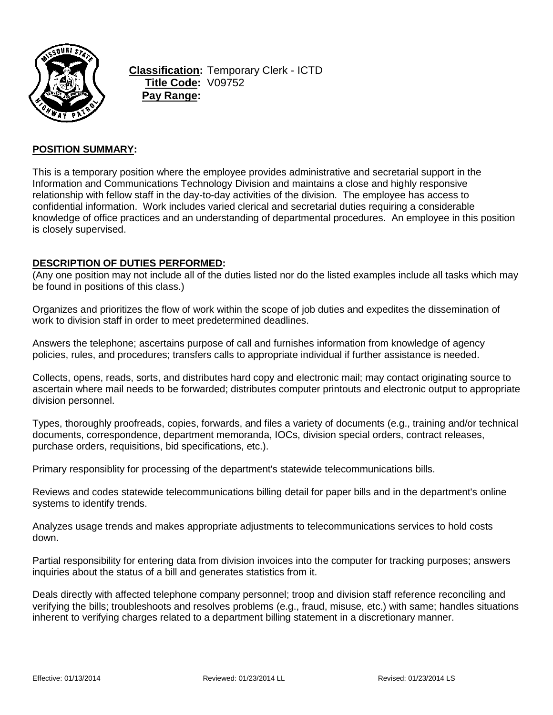

**Classification:** Temporary Clerk - ICTD **Title Code:** V09752 **Pay Range:**

## **POSITION SUMMARY:**

This is a temporary position where the employee provides administrative and secretarial support in the Information and Communications Technology Division and maintains a close and highly responsive relationship with fellow staff in the day-to-day activities of the division. The employee has access to confidential information. Work includes varied clerical and secretarial duties requiring a considerable knowledge of office practices and an understanding of departmental procedures. An employee in this position is closely supervised.

### **DESCRIPTION OF DUTIES PERFORMED:**

(Any one position may not include all of the duties listed nor do the listed examples include all tasks which may be found in positions of this class.)

Organizes and prioritizes the flow of work within the scope of job duties and expedites the dissemination of work to division staff in order to meet predetermined deadlines.

Answers the telephone; ascertains purpose of call and furnishes information from knowledge of agency policies, rules, and procedures; transfers calls to appropriate individual if further assistance is needed.

Collects, opens, reads, sorts, and distributes hard copy and electronic mail; may contact originating source to ascertain where mail needs to be forwarded; distributes computer printouts and electronic output to appropriate division personnel.

Types, thoroughly proofreads, copies, forwards, and files a variety of documents (e.g., training and/or technical documents, correspondence, department memoranda, IOCs, division special orders, contract releases, purchase orders, requisitions, bid specifications, etc.).

Primary responsiblity for processing of the department's statewide telecommunications bills.

Reviews and codes statewide telecommunications billing detail for paper bills and in the department's online systems to identify trends.

Analyzes usage trends and makes appropriate adjustments to telecommunications services to hold costs down.

Partial responsibility for entering data from division invoices into the computer for tracking purposes; answers inquiries about the status of a bill and generates statistics from it.

Deals directly with affected telephone company personnel; troop and division staff reference reconciling and verifying the bills; troubleshoots and resolves problems (e.g., fraud, misuse, etc.) with same; handles situations inherent to verifying charges related to a department billing statement in a discretionary manner.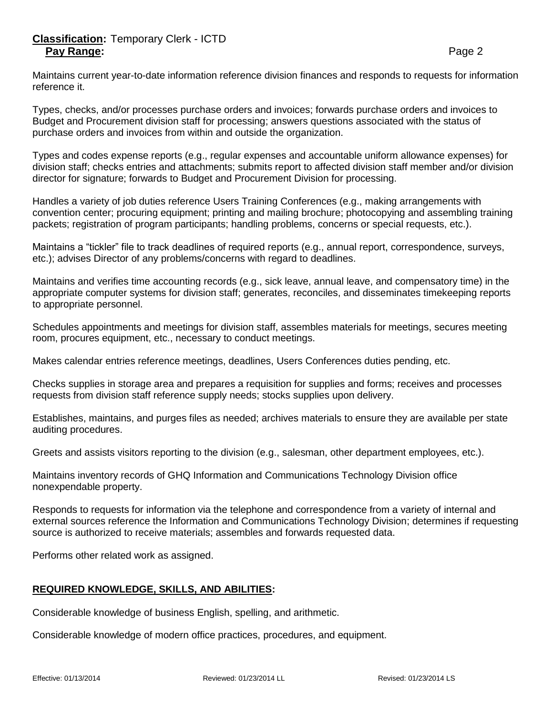# **Classification:** Temporary Clerk - ICTD Pay Range: **Pay Range:** Page 2

Maintains current year-to-date information reference division finances and responds to requests for information reference it.

Types, checks, and/or processes purchase orders and invoices; forwards purchase orders and invoices to Budget and Procurement division staff for processing; answers questions associated with the status of purchase orders and invoices from within and outside the organization.

Types and codes expense reports (e.g., regular expenses and accountable uniform allowance expenses) for division staff; checks entries and attachments; submits report to affected division staff member and/or division director for signature; forwards to Budget and Procurement Division for processing.

Handles a variety of job duties reference Users Training Conferences (e.g., making arrangements with convention center; procuring equipment; printing and mailing brochure; photocopying and assembling training packets; registration of program participants; handling problems, concerns or special requests, etc.).

Maintains a "tickler" file to track deadlines of required reports (e.g., annual report, correspondence, surveys, etc.); advises Director of any problems/concerns with regard to deadlines.

Maintains and verifies time accounting records (e.g., sick leave, annual leave, and compensatory time) in the appropriate computer systems for division staff; generates, reconciles, and disseminates timekeeping reports to appropriate personnel.

Schedules appointments and meetings for division staff, assembles materials for meetings, secures meeting room, procures equipment, etc., necessary to conduct meetings.

Makes calendar entries reference meetings, deadlines, Users Conferences duties pending, etc.

Checks supplies in storage area and prepares a requisition for supplies and forms; receives and processes requests from division staff reference supply needs; stocks supplies upon delivery.

Establishes, maintains, and purges files as needed; archives materials to ensure they are available per state auditing procedures.

Greets and assists visitors reporting to the division (e.g., salesman, other department employees, etc.).

Maintains inventory records of GHQ Information and Communications Technology Division office nonexpendable property.

Responds to requests for information via the telephone and correspondence from a variety of internal and external sources reference the Information and Communications Technology Division; determines if requesting source is authorized to receive materials; assembles and forwards requested data.

Performs other related work as assigned.

#### **REQUIRED KNOWLEDGE, SKILLS, AND ABILITIES:**

Considerable knowledge of business English, spelling, and arithmetic.

Considerable knowledge of modern office practices, procedures, and equipment.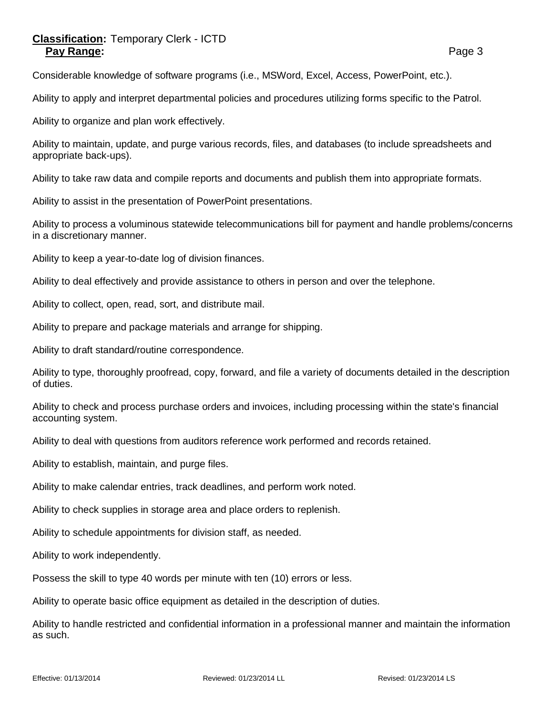# **Classification:** Temporary Clerk - ICTD **Pay Range:** Page 3

Considerable knowledge of software programs (i.e., MSWord, Excel, Access, PowerPoint, etc.).

Ability to apply and interpret departmental policies and procedures utilizing forms specific to the Patrol.

Ability to organize and plan work effectively.

Ability to maintain, update, and purge various records, files, and databases (to include spreadsheets and appropriate back-ups).

Ability to take raw data and compile reports and documents and publish them into appropriate formats.

Ability to assist in the presentation of PowerPoint presentations.

Ability to process a voluminous statewide telecommunications bill for payment and handle problems/concerns in a discretionary manner.

Ability to keep a year-to-date log of division finances.

Ability to deal effectively and provide assistance to others in person and over the telephone.

Ability to collect, open, read, sort, and distribute mail.

Ability to prepare and package materials and arrange for shipping.

Ability to draft standard/routine correspondence.

Ability to type, thoroughly proofread, copy, forward, and file a variety of documents detailed in the description of duties.

Ability to check and process purchase orders and invoices, including processing within the state's financial accounting system.

Ability to deal with questions from auditors reference work performed and records retained.

Ability to establish, maintain, and purge files.

Ability to make calendar entries, track deadlines, and perform work noted.

Ability to check supplies in storage area and place orders to replenish.

Ability to schedule appointments for division staff, as needed.

Ability to work independently.

Possess the skill to type 40 words per minute with ten (10) errors or less.

Ability to operate basic office equipment as detailed in the description of duties.

Ability to handle restricted and confidential information in a professional manner and maintain the information as such.